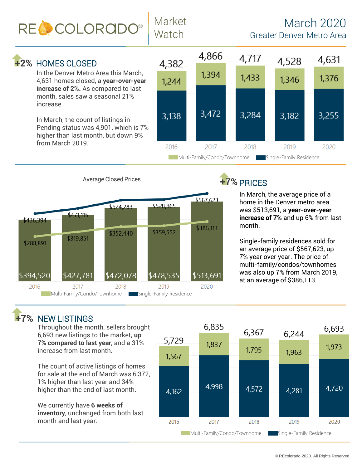RE COLORADO®

## March 2020 Greater Denver Metro Area

## **+2% HOMES CLOSED**

In the Denver Metro Area this March, 4,631 homes closed, a **year-over-year increase of 2%.** As compared to last month, sales saw a seasonal 21% increase.

Market

Watch

In March, the count of listings in Pending status was 4,901, which is 7% higher than last month, but down 9% from March 2019.





# +7% PRICES

In March, the average price of a home in the Denver metro area was \$513,691, a **year-over-year increase of 7%** and up 6% from last month.

Single-family residences sold for an average price of \$567,623, up 7% year over year. The price of multi-family/condos/townhomes was also up 7% from March 2019, at an average of \$386,113.

#### $+7%$  NEW LISTINGS

Throughout the month, sellers brought 6,693 new listings to the market**, up 7% compared to last year**, and a 31% increase from last month.

The count of active listings of homes for sale at the end of March was 6,372, 1% higher than last year and 34% higher than the end of last month.

We currently have **6 weeks of inventory**, unchanged from both last month and last year.